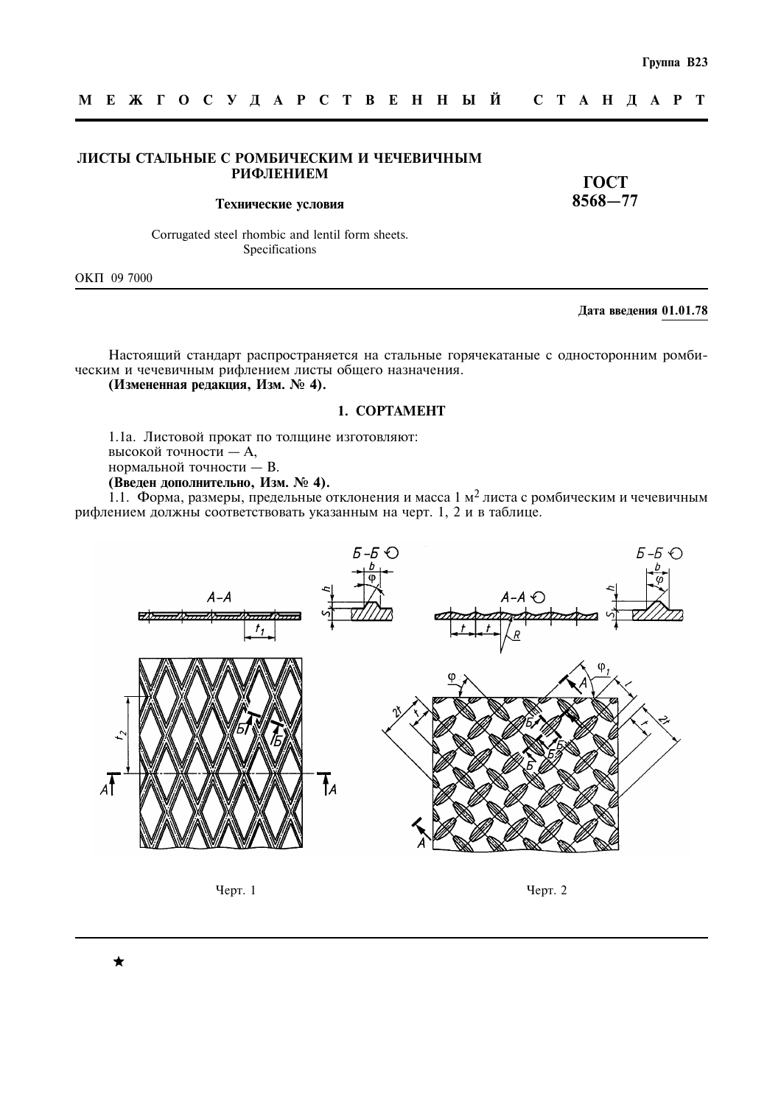### ЛИСТЫ СТАЛЬНЫЕ С РОМБИЧЕСКИМ И ЧЕЧЕВИЧНЫМ **РИФЛЕНИЕМ**

**TOCT**  $8568 - 77$ 

Технические условия

Corrugated steel rhombic and lentil form sheets. Specifications

OKIT 09 7000

### Дата введения 01.01.78

Настоящий стандарт распространяется на стальные горячекатаные с односторонним ромбическим и чечевичным рифлением листы общего назначения.

# (Измененная редакция, Изм. № 4).

### 1. COPTAMEHT

1.1а. Листовой прокат по толщине изготовляют: высокой точности - А, нормальной точности - В. (Введен дополнительно, Изм. № 4).

1.1. Форма, размеры, предельные отклонения и масса 1 м<sup>2</sup> листа с ромбическим и чечевичным рифлением должны соответствовать указанным на черт. 1, 2 и в таблице.





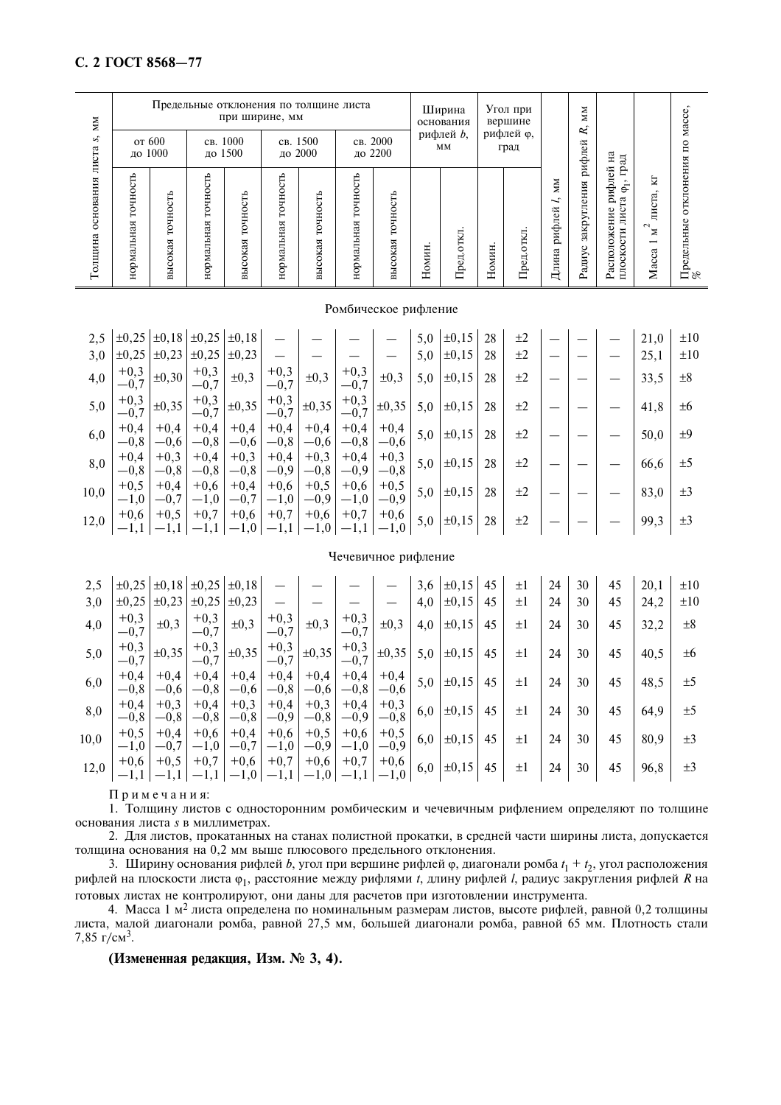### С. 2 ГОСТ 8568-77

| ŠМ                   |                                   |                                           |                                   | Предельные отклонения по толщине листа<br>при ширине, мм |                        |                                 |                                        |                     |                 | Ширина<br>основания   | Угол при<br>вершине |                                 |                                      | Ž<br>R,               |                                                                                                                                               |                                                                          | Macce                         |
|----------------------|-----------------------------------|-------------------------------------------|-----------------------------------|----------------------------------------------------------|------------------------|---------------------------------|----------------------------------------|---------------------|-----------------|-----------------------|---------------------|---------------------------------|--------------------------------------|-----------------------|-----------------------------------------------------------------------------------------------------------------------------------------------|--------------------------------------------------------------------------|-------------------------------|
| 5,<br>листа          |                                   | от 600<br>до 1000                         |                                   | св. 1000<br>до 1500                                      |                        | св. 1500<br>до 2000             | св. 2000<br>до 2200                    |                     | рифлей b,<br>MМ |                       | рифлей ф,<br>град   |                                 |                                      | рифлей                | Ηа<br>$\overline{a}$                                                                                                                          |                                                                          | $\mathbf{r}$                  |
| основания<br>Толщина | <b>TO'HOCTL</b><br>ᢘ<br>нормальна | ≏<br>с<br>٥<br>ᢘ<br>ದ<br>⊻<br>ō<br>٥<br>Б | чность<br>Ē<br>ᢍ<br>Нä<br>нормаль | точность<br>высокая                                      | TOYHOCTL<br>нормальная | Ê<br><b>DOHHO</b><br>сокая<br>Ĕ | СЪ<br>c<br>È<br>Ö<br>₩<br>ದ<br>нормали | TOYHOCTb<br>высокая | Номин           | <b>OTKJI</b><br>Пред. | Номин               | 豆<br>н<br>O<br>ᄇ<br>$\prod$ pej | ŠМ<br>$\sim$<br>∼<br>рифлей<br>Длина | закругления<br>Радиус | Ë<br>рифлей<br>$\overline{\phantom{a}}$<br>$\bar{\mathfrak{s}}$<br>g<br>ние<br>лис<br>$0$ <i><b>XC</b></i><br>кости<br>Распол<br><b>THOCI</b> | Ħ<br>$\sim$<br>листа<br>$\sim$<br>Σ<br>$\overline{\phantom{0}}$<br>Macca | отклонения<br>Предельные<br>% |

#### Ромбическое рифление

| 2,5  | $\pm 0.25$       |                  | $\pm 0.18$ $\pm 0.25$ $\pm 0.18$ |                  |                  |                  |                  |                  | 5,0 | $\pm 0, 15$ | 28 | $\pm 2$ |  | 21,0 | $\pm 10$ |
|------|------------------|------------------|----------------------------------|------------------|------------------|------------------|------------------|------------------|-----|-------------|----|---------|--|------|----------|
| 3,0  | $\pm 0.25$       | $\pm 0.23$       | $\pm 0.25$                       | $\pm 0.23$       |                  |                  |                  |                  | 5,0 | $\pm 0, 15$ | 28 | $\pm 2$ |  | 25,1 | $\pm 10$ |
| 4,0  | $+0,3$<br>$-0.7$ | $\pm 0,30$       | $+0,3$<br>$-0,7$                 | $\pm 0,3$        | $+0,3$<br>$-0,7$ | $\pm 0.3$        | $+0,3$<br>$-0,7$ | $\pm 0,3$        | 5,0 | $\pm 0, 15$ | 28 | $\pm 2$ |  | 33,5 | $\pm 8$  |
| 5,0  | $+0,3$<br>$-0.7$ | $\pm 0,35$       | $+0,3$<br>$-0.7$                 | $\pm 0,35$       | $+0,3$<br>$-0.7$ | $\pm 0,35$       | $+0,3$<br>$-0.7$ | $\pm 0,35$       | 5,0 | $\pm 0, 15$ | 28 | $\pm 2$ |  | 41,8 | ±6       |
| 6,0  | $+0,4$<br>$-0.8$ | $+0,4$<br>$-0.6$ | $+0,4$<br>$-0,8$                 | $+0,4$<br>$-0,6$ | $+0,4$<br>$-0,8$ | $+0,4$<br>$-0,6$ | $+0,4$<br>$-0,8$ | $+0,4$<br>$-0.6$ | 5,0 | $\pm 0, 15$ | 28 | $\pm 2$ |  | 50,0 | ±9       |
| 8,0  | $+0.4$<br>$-0.8$ | $+0,3$<br>$-0.8$ | $+0,4$<br>$-0.8$                 | $+0,3$<br>$-0,8$ | $+0,4$<br>$-0,9$ | $+0,3$<br>$-0.8$ | $+0,4$<br>$-0,9$ | $+0,3$<br>$-0.8$ | 5,0 | $\pm 0, 15$ | 28 | $+2$    |  | 66,6 | ±5       |
| 10,0 | $+0.5$<br>$-1,0$ | $+0,4$<br>$-0.7$ | $+0,6$<br>$-1,0$                 | $+0,4$<br>$-0,7$ | $+0,6$<br>$-1,0$ | $+0,5$<br>$-0,9$ | $+0,6$<br>$-1,0$ | $+0,5$<br>$-0.9$ | 5,0 | $\pm 0.15$  | 28 | $\pm 2$ |  | 83,0 | $\pm 3$  |
| 12,0 | $+0,6$           | $+0,5$           | $+0,7$                           | $+0,6$           | $+0,7$           | $+0,6$           | $+0,7$           | $+0,6$<br>$-1,0$ | 5,0 | $\pm 0, 15$ | 28 | $\pm 2$ |  | 99,3 | $\pm 3$  |

### Чечевичное рифление

| 2,5  | $\pm 0.25$       | $\pm 0.18$       | $\pm 0.25$       | $\pm 0.18$       |                  |                  |                  |                  | 3,6 | $\pm 0, 15$ | 45 | ±Ι      | 24 | 30 | 45 | 20,1 | $\pm 10$ |
|------|------------------|------------------|------------------|------------------|------------------|------------------|------------------|------------------|-----|-------------|----|---------|----|----|----|------|----------|
| 3,0  | $\pm 0.25$       | $\pm 0,23$       | $\pm 0,25$       | $\pm 0,23$       |                  |                  |                  |                  | 4,0 | $\pm 0, 15$ | 45 | $\pm 1$ | 24 | 30 | 45 | 24,2 | $\pm 10$ |
| 4,0  | $+0,3$<br>$-0,7$ | $\pm 0.3$        | $+0,3$<br>$-0,7$ | $\pm 0,3$        | $+0,3$<br>$-0,7$ | $\pm 0.3$        | $+0,3$<br>$-0,7$ | $\pm 0,3$        | 4,0 | $\pm 0, 15$ | 45 | $\pm 1$ | 24 | 30 | 45 | 32,2 | $\pm 8$  |
| 5,0  | $+0,3$<br>$-0.7$ | $\pm 0,35$       | $+0,3$<br>$-0,7$ | $\pm 0,35$       | $+0,3$<br>$-0,7$ | $\pm 0,35$       | $+0,3$<br>$-0,7$ | $\pm 0,35$       | 5,0 | $\pm 0, 15$ | 45 | $\pm 1$ | 24 | 30 | 45 | 40,5 | ±6       |
| 6,0  | $+0.4$<br>$-0.8$ | $+0,4$<br>$-0,6$ | $+0.4$<br>$-0,8$ | $+0,4$<br>$-0,6$ | $+0,4$<br>$-0,8$ | $+0,4$<br>$-0,6$ | $+0,4$<br>$-0,8$ | $+0,4$<br>$-0.6$ | 5,0 | $\pm 0, 15$ | 45 | $\pm 1$ | 24 | 30 | 45 | 48,5 | $\pm 5$  |
| 8,0  | $+0.4$<br>$-0.8$ | $+0,3$<br>$-0.8$ | $+0.4$<br>$-0,8$ | $+0,3$<br>$-0,8$ | $+0.4$<br>$-0,9$ | $+0,3$<br>$-0,8$ | $+0,4$<br>$-0.9$ | $+0,3$<br>$-0.8$ | 6,0 | $\pm 0, 15$ | 45 | $\pm 1$ | 24 | 30 | 45 | 64,9 | $\pm 5$  |
| 10,0 | $+0.5$<br>$-1,0$ | $+0,4$<br>$-0.7$ | $+0,6$<br>$-1,0$ | $+0,4$<br>$-0,7$ | $+0.6$<br>$-1,0$ | $+0,5$<br>$-0,9$ | $+0,6$<br>$-1,0$ | $+0,5$<br>$-0.9$ | 6,0 | $\pm 0, 15$ | 45 | $\pm 1$ | 24 | 30 | 45 | 80,9 | $\pm 3$  |
| 12,0 | $+0,6$           | $+0,5$           | $+0,7$           | $+0,6$           | $+0,7$           | $+0,6$           | $+0,7$           | $+0,6$           | 6,0 | $\pm 0, 15$ | 45 | $\pm 1$ | 24 | 30 | 45 | 96,8 | $\pm 3$  |

Примечания:

1. Толщину листов с односторонним ромбическим и чечевичным рифлением определяют по толщине основания листа *s* в миллиметрах.

2. Для листов, прокатанных на станах полистной прокатки, в средней части ширины листа, допускается толщина основания на 0,2 мм выше плюсового предельного отклонения.

3. Ширину основания рифлей b, угол при вершине рифлей ф, диагонали ромба  $t_1 + t_2$ , угол расположения рифлей на плоскости листа ф<sub>1</sub>, расстояние между рифлями t, длину рифлей l, радиус закругления рифлей R на готовых листах не контролируют, они даны для расчетов при изготовлении инструмента.

4. Масса 1 м<sup>2</sup> листа определена по номинальным размерам листов, высоте рифлей, равной 0,2 толщины листа, малой диагонали ромба, равной 27,5 мм, большей диагонали ромба, равной 65 мм. Плотность стали 7,85  $r/cm^3$ .

(Измененная редакция, Изм. № 3, 4).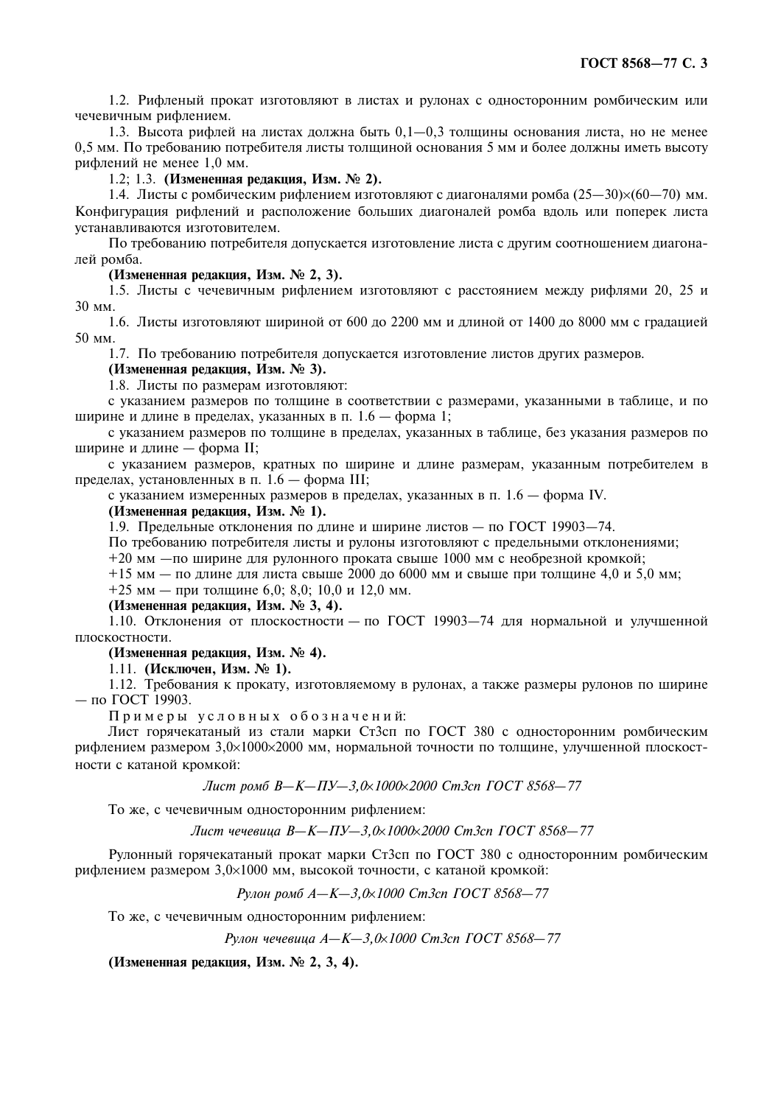1.2. Рифленый прокат изготовляют в листах и рулонах с односторонним ромбическим или чечевичным рифлением.

1.3. Высота рифлей на листах должна быть 0,1—0,3 толщины основания листа, но не менее 0,5 мм. По требованию потребителя листы толщиной основания 5 мм и более должны иметь высоту рифлений не менее 1,0 мм.

1.2; 1.3. (Измененная редакция, Изм. № 2).

1.4. Листы с ромбическим рифлением изготовляют с диагоналями ромба (25—30) $\times$ (60—70) мм. Конфигурация рифлений и расположение больших диагоналей ромба вдоль или поперек листа устанавливаются изготовителем.

По требованию потребителя допускается изготовление листа с другим соотношением диагоналей ромба.

## (Измененная редакция, Изм. № 2, 3).

1.5. Листы с чечевичным рифлением изготовляют с расстоянием между рифлями 20, 25 и 30 мм.

1.6. Листы изготовляют шириной от 600 до 2200 мм и длиной от 1400 до 8000 мм с градацией 50 MM.

1.7. По требованию потребителя допускается изготовление листов других размеров.

(Измененная редакция, Изм. № 3).

1.8. Листы по размерам изготовляют:

с указанием размеров по толщине в соответствии с размерами, указанными в таблице, и по ширине и длине в пределах, указанных в п. 1.6 — форма 1;

с указанием размеров по толщине в пределах, указанных в таблице, без указания размеров по ширине и длине — форма II;

с указанием размеров, кратных по ширине и длине размерам, указанным потребителем в пределах, установленных в п. 1.6 — форма III;

с указанием измеренных размеров в пределах, указанных в п. 1.6 — форма IV.

### (Измененная редакция, Изм. № 1).

1.9. Предельные отклонения по ллине и ширине листов — по ГОСТ 19903-74.

По требованию потребителя листы и рулоны изготовляют с предельными отклонениями;

 $+20$  мм - по ширине для рулонного проката свыше 1000 мм с необрезной кромкой;

 $+15$  мм — по длине для листа свыше 2000 до 6000 мм и свыше при толщине 4,0 и 5,0 мм;

+25 мм — при толщине 6,0; 8,0; 10,0 и 12,0 мм.

(Измененная редакция, Изм. № 3, 4).

1.10. Отклонения от плоскостности - по ГОСТ 19903-74 для нормальной и улучшенной плоскостности.

## (Измененная редакция, Изм. № 4).

1.11. (Исключен, Изм. № 1).

1.12. Требования к прокату, изготовляемому в рулонах, а также размеры рулонов по ширине  $\pi$ <sup>O</sup>  $\Gamma$ OCT 19903.

Примеры условных обозначений:

Лист горячекатаный из стали марки Ст3сп по ГОСТ 380 с односторонним ромбическим рифлением размером 3.0×1000×2000 мм. нормальной точности по толшине, улучшенной плоскостности с катаной кромкой:

Лист ромб В-К-ПУ-3,0х1000х2000 Ст3сп ГОСТ 8568-77

То же, с чечевичным односторонним рифлением:

Лист чечевица В-К-ПУ-3,0х1000х2000 Ст3сп ГОСТ 8568-77

Рулонный горячекатаный прокат марки Ст3сп по ГОСТ 380 с односторонним ромбическим рифлением размером 3.0×1000 мм. высокой точности, с катаной кромкой:

Рулон ромб А-К-3,0х1000 Ст3сп ГОСТ 8568-77

То же, с чечевичным односторонним рифлением:

Рулон чечевица А-К-3,0х1000 Ст3сп ГОСТ 8568-77

(Измененная редакция, Изм. № 2, 3, 4).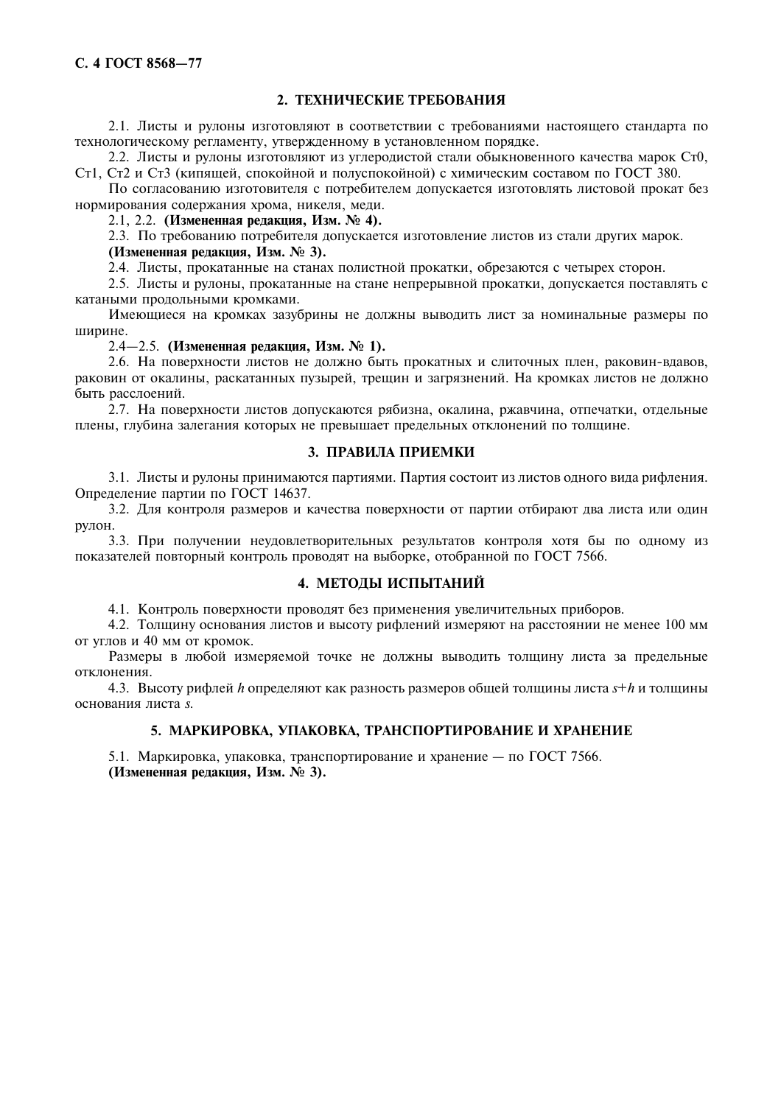# 2. ТЕХНИЧЕСКИЕ ТРЕБОВАНИЯ

2.1. Листы и рулоны изготовляют в соответствии с требованиями настоящего стандарта по технологическому регламенту, утвержденному в установленном порядке.

2.2. Листы и рулоны изготовляют из углеродистой стали обыкновенного качества марок Ст0, Ст1, Ст2 и Ст3 (кипящей, спокойной и полуспокойной) с химическим составом по ГОСТ 380.

По согласованию изготовителя с потребителем допускается изготовлять листовой прокат без нормирования содержания хрома, никеля, меди.

2.1, 2.2. (Измененная редакция, Изм. № 4).

2.3. По требованию потребителя допускается изготовление листов из стали других марок.

# (Измененная редакция, Изм. № 3).

2.4. Листы, прокатанные на станах полистной прокатки, обрезаются с четырех сторон.

2.5. Листы и рулоны, прокатанные на стане непрерывной прокатки, допускается поставлять с катаными продольными кромками.

Имеющиеся на кромках зазубрины не должны выводить лист за номинальные размеры по ширине.

## 2.4–2.5. (Измененная редакция, Изм. № 1).

2.6. На поверхности листов не должно быть прокатных и слиточных плен, раковин-вдавов, раковин от окалины, раскатанных пузырей, трещин и загрязнений. На кромках листов не должно быть расслоений.

2.7. На поверхности листов допускаются рябизна, окалина, ржавчина, отпечатки, отдельные плены, глубина залегания которых не превышает предельных отклонений по толщине.

# 3. ПРАВИЛА ПРИЕМКИ

3.1. Листы и рулоны принимаются партиями. Партия состоит из листов одного вида рифления. Определение партии по ГОСТ 14637.

3.2. Для контроля размеров и качества поверхности от партии отбирают два листа или один рулон.

3.3. При получении неудовлетворительных результатов контроля хотя бы по одному из показателей повторный контроль проволят на выборке, отобранной по ГОСТ 7566.

# 4. МЕТОДЫ ИСПЫТАНИЙ

4.1. Контроль поверхности проводят без применения увеличительных приборов.

4.2. Толщину основания листов и высоту рифлений измеряют на расстоянии не менее 100 мм от углов и 40 мм от кромок.

Размеры в любой измеряемой точке не должны выводить толщину листа за предельные отклонения.

4.3. Высоту рифлей h определяют как разность размеров общей толщины листа  $s+h$  и толщины основания листа s.

## 5. МАРКИРОВКА, УПАКОВКА, ТРАНСПОРТИРОВАНИЕ И ХРАНЕНИЕ

5.1. Маркировка, упаковка, транспортирование и хранение — по ГОСТ 7566. (Измененная редакция, Изм. № 3).